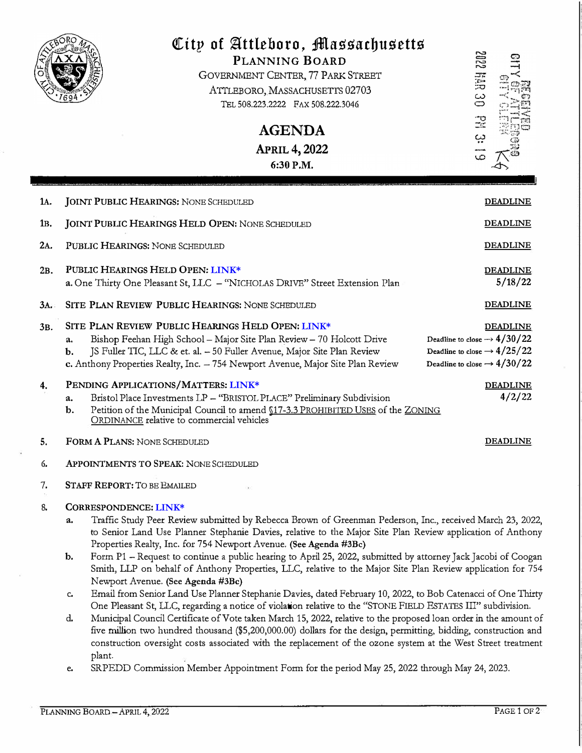|                | City of Attleboro, Massachusetts<br>PLANNING BOARD<br>GOVERNMENT CENTER, 77 PARK STREET<br>ATTLEBORO, MASSACHUSETTS 02703<br>TEL 508.223.2222 FAX 508.222.3046<br><b>AGENDA</b><br><b>APRIL 4, 2022</b><br>6:30 P.M.                                                                                                                                                                                                                                                                                                                                                                              | 2882<br>Hall<br>Ja<br>دے<br>$\mathbf{\subseteq}$<br>$\frac{1}{2}$<br>بب                                                                          |
|----------------|---------------------------------------------------------------------------------------------------------------------------------------------------------------------------------------------------------------------------------------------------------------------------------------------------------------------------------------------------------------------------------------------------------------------------------------------------------------------------------------------------------------------------------------------------------------------------------------------------|--------------------------------------------------------------------------------------------------------------------------------------------------|
| 1A.            | <b>JOINT PUBLIC HEARINGS: NONE SCHEDULED</b>                                                                                                                                                                                                                                                                                                                                                                                                                                                                                                                                                      | <b>DEADLINE</b>                                                                                                                                  |
| 1в.            | <b>JOINT PUBLIC HEARINGS HELD OPEN: NONE SCHEDULED</b>                                                                                                                                                                                                                                                                                                                                                                                                                                                                                                                                            | <b>DEADLINE</b>                                                                                                                                  |
| 2A.            | PUBLIC HEARINGS: NONE SCHEDULED                                                                                                                                                                                                                                                                                                                                                                                                                                                                                                                                                                   | <b>DEADLINE</b>                                                                                                                                  |
| 2B.            | PUBLIC HEARINGS HELD OPEN: LINK*<br>a. One Thirty One Pleasant St, LLC - "NICHOLAS DRIVE" Street Extension Plan                                                                                                                                                                                                                                                                                                                                                                                                                                                                                   | <b>DEADLINE</b><br>5/18/22                                                                                                                       |
| 3A.            | SITE PLAN REVIEW PUBLIC HEARINGS: NONE SCHEDULED                                                                                                                                                                                                                                                                                                                                                                                                                                                                                                                                                  | <b>DEADLINE</b>                                                                                                                                  |
| 3 <sub>B</sub> | SITE PLAN REVIEW PUBLIC HEARINGS HELD OPEN: LINK*<br>Bishop Feehan High School - Major Site Plan Review - 70 Holcott Drive<br>a.<br>JS Fuller TIC, LLC & et. al. - 50 Fuller Avenue, Major Site Plan Review<br>b.<br>c. Anthony Properties Realty, Inc. - 754 Newport Avenue, Major Site Plan Review                                                                                                                                                                                                                                                                                              | <b>DEADLINE</b><br>Deadline to close $\rightarrow$ 4/30/22<br>Deadline to close $\rightarrow$ 4/25/22<br>Deadline to close $\rightarrow$ 4/30/22 |
| 4.             | PENDING APPLICATIONS/MATTERS: LINK*<br>Bristol Place Investments LP - "BRISTOL PLACE" Preliminary Subdivision<br>a.<br>Petition of the Municipal Council to amend \$17-3.3 PROHIBITED USES of the ZONING<br>b.<br>ORDINANCE relative to commercial vehicles                                                                                                                                                                                                                                                                                                                                       | <b>DEADLINE</b><br>4/2/22                                                                                                                        |
| 5.             | FORM A PLANS: NONE SCHEDULED                                                                                                                                                                                                                                                                                                                                                                                                                                                                                                                                                                      | <u>DEADLINE</u>                                                                                                                                  |
| б.             | <b>APPOINTMENTS TO SPEAK: NONE SCHEDULED</b>                                                                                                                                                                                                                                                                                                                                                                                                                                                                                                                                                      |                                                                                                                                                  |
| 7.             | <b>STAFF REPORT: TO BE EMAILED</b>                                                                                                                                                                                                                                                                                                                                                                                                                                                                                                                                                                |                                                                                                                                                  |
| 8.             | CORRESPONDENCE: LINK*<br>Traffic Study Peer Review submitted by Rebecca Brown of Greenman Pederson, Inc., received March 23, 2022,<br>a.<br>to Senior Land Use Planner Stephanie Davies, relative to the Major Site Plan Review application of Anthony<br>Properties Realty, Inc. for 754 Newport Avenue. (See Agenda #3Bc)                                                                                                                                                                                                                                                                       |                                                                                                                                                  |
|                | Form P1 - Request to continue a public hearing to April 25, 2022, submitted by attorney Jack Jacobi of Coogan<br>b.<br>Smith, LLP on behalf of Anthony Properties, LLC, relative to the Major Site Plan Review application for 754<br>Newport Avenue. (See Agenda #3Bc)                                                                                                                                                                                                                                                                                                                           |                                                                                                                                                  |
|                | Email from Senior Land Use Planner Stephanie Davies, dated February 10, 2022, to Bob Catenacci of One Thirty<br>c.<br>One Pleasant St, LLC, regarding a notice of violation relative to the "STONE FIELD ESTATES III" subdivision.<br>Municipal Council Certificate of Vote taken March 15, 2022, relative to the proposed loan order in the amount of<br>d.<br>five million two hundred thousand (\$5,200,000.00) dollars for the design, permitting, bidding, construction and<br>construction oversight costs associated with the replacement of the ozone system at the West Street treatment |                                                                                                                                                  |

plant.<br>SRPEDD Commission Member Appointment Form for the period May 25, 2022 through May 24, 2023.  $e_{i}$